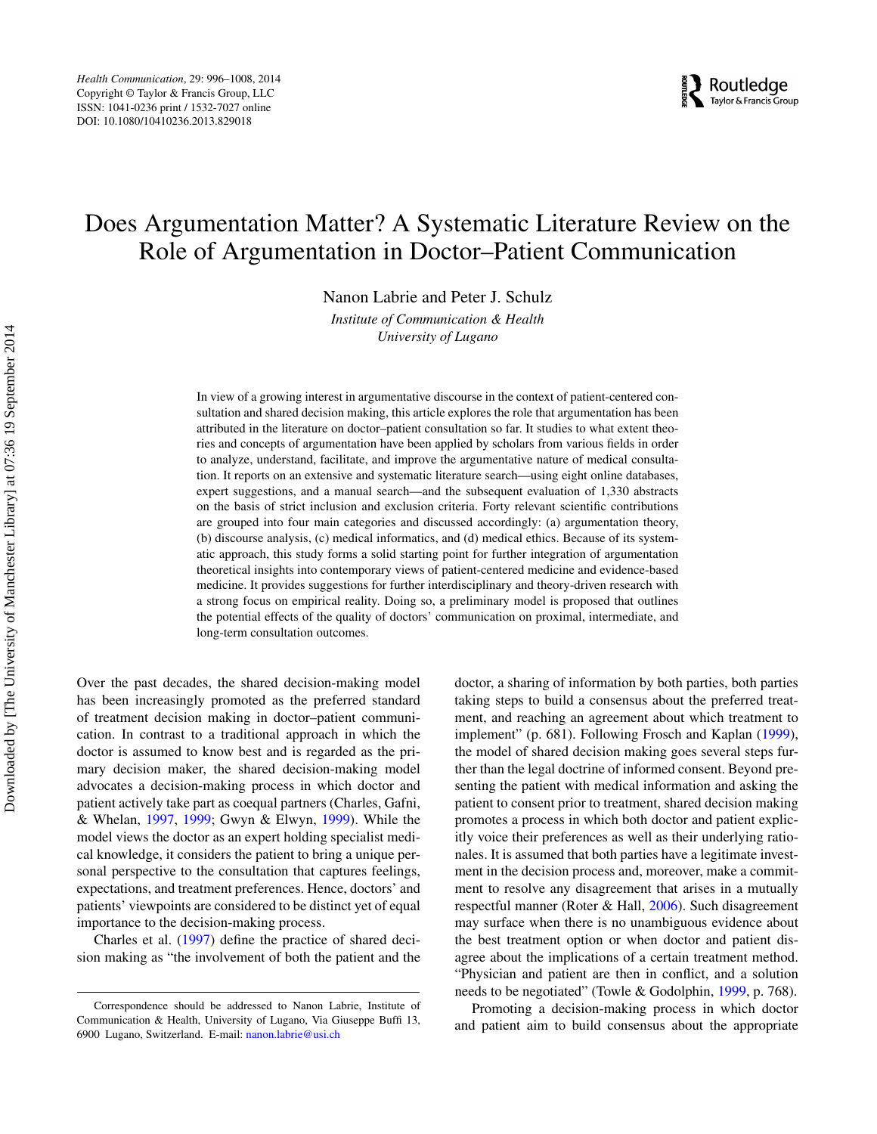

# Does Argumentation Matter? A Systematic Literature Review on the Role of Argumentation in Doctor–Patient Communication

Nanon Labrie and Peter J. Schulz

*Institute of Communication & Health University of Lugano*

In view of a growing interest in argumentative discourse in the context of patient-centered consultation and shared decision making, this article explores the role that argumentation has been attributed in the literature on doctor–patient consultation so far. It studies to what extent theories and concepts of argumentation have been applied by scholars from various fields in order to analyze, understand, facilitate, and improve the argumentative nature of medical consultation. It reports on an extensive and systematic literature search—using eight online databases, expert suggestions, and a manual search—and the subsequent evaluation of 1,330 abstracts on the basis of strict inclusion and exclusion criteria. Forty relevant scientific contributions are grouped into four main categories and discussed accordingly: (a) argumentation theory, (b) discourse analysis, (c) medical informatics, and (d) medical ethics. Because of its systematic approach, this study forms a solid starting point for further integration of argumentation theoretical insights into contemporary views of patient-centered medicine and evidence-based medicine. It provides suggestions for further interdisciplinary and theory-driven research with a strong focus on empirical reality. Doing so, a preliminary model is proposed that outlines the potential effects of the quality of doctors' communication on proximal, intermediate, and long-term consultation outcomes.

Over the past decades, the shared decision-making model has been increasingly promoted as the preferred standard of treatment decision making in doctor–patient communication. In contrast to a traditional approach in which the doctor is assumed to know best and is regarded as the primary decision maker, the shared decision-making model advocates a decision-making process in which doctor and patient actively take part as coequal partners (Charles, Gafni, & Whelan, [1997,](#page-11-0) [1999;](#page-11-1) Gwyn & Elwyn, [1999\)](#page-11-2). While the model views the doctor as an expert holding specialist medical knowledge, it considers the patient to bring a unique personal perspective to the consultation that captures feelings, expectations, and treatment preferences. Hence, doctors' and patients' viewpoints are considered to be distinct yet of equal importance to the decision-making process.

Charles et al. [\(1997\)](#page-11-0) define the practice of shared decision making as "the involvement of both the patient and the

doctor, a sharing of information by both parties, both parties taking steps to build a consensus about the preferred treatment, and reaching an agreement about which treatment to implement" (p. 681). Following Frosch and Kaplan [\(1999\)](#page-11-3), the model of shared decision making goes several steps further than the legal doctrine of informed consent. Beyond presenting the patient with medical information and asking the patient to consent prior to treatment, shared decision making promotes a process in which both doctor and patient explicitly voice their preferences as well as their underlying rationales. It is assumed that both parties have a legitimate investment in the decision process and, moreover, make a commitment to resolve any disagreement that arises in a mutually respectful manner (Roter & Hall, [2006\)](#page-11-4). Such disagreement may surface when there is no unambiguous evidence about the best treatment option or when doctor and patient disagree about the implications of a certain treatment method. "Physician and patient are then in conflict, and a solution needs to be negotiated" (Towle & Godolphin, [1999,](#page-12-0) p. 768).

Promoting a decision-making process in which doctor and patient aim to build consensus about the appropriate

Correspondence should be addressed to Nanon Labrie, Institute of Communication & Health, University of Lugano, Via Giuseppe Buffi 13, 6900 Lugano, Switzerland. E-mail: nanon.labrie@usi.ch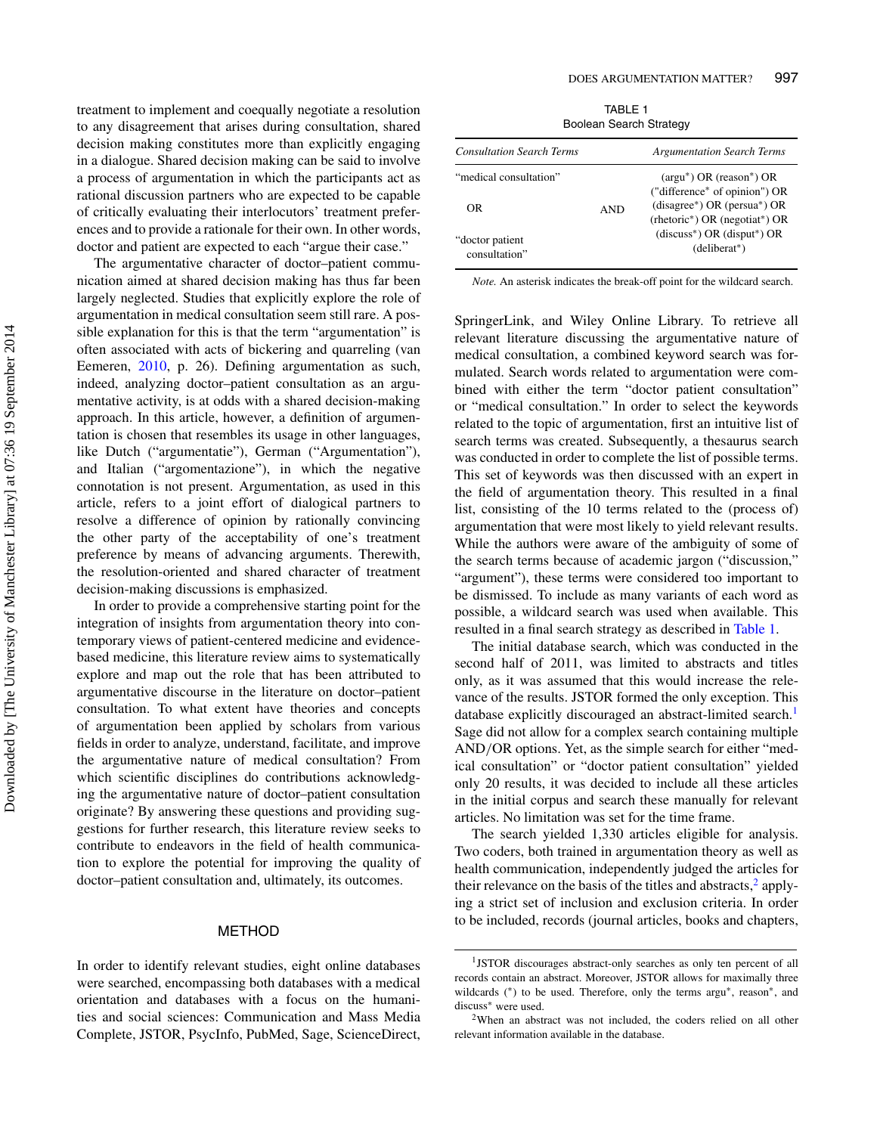treatment to implement and coequally negotiate a resolution to any disagreement that arises during consultation, shared decision making constitutes more than explicitly engaging in a dialogue. Shared decision making can be said to involve a process of argumentation in which the participants act as rational discussion partners who are expected to be capable of critically evaluating their interlocutors' treatment preferences and to provide a rationale for their own. In other words, doctor and patient are expected to each "argue their case."

The argumentative character of doctor–patient communication aimed at shared decision making has thus far been largely neglected. Studies that explicitly explore the role of argumentation in medical consultation seem still rare. A possible explanation for this is that the term "argumentation" is often associated with acts of bickering and quarreling (van Eemeren, [2010,](#page-12-1) p. 26). Defining argumentation as such, indeed, analyzing doctor–patient consultation as an argumentative activity, is at odds with a shared decision-making approach. In this article, however, a definition of argumentation is chosen that resembles its usage in other languages, like Dutch ("argumentatie"), German ("Argumentation"), and Italian ("argomentazione"), in which the negative connotation is not present. Argumentation, as used in this article, refers to a joint effort of dialogical partners to resolve a difference of opinion by rationally convincing the other party of the acceptability of one's treatment preference by means of advancing arguments. Therewith, the resolution-oriented and shared character of treatment decision-making discussions is emphasized.

In order to provide a comprehensive starting point for the integration of insights from argumentation theory into contemporary views of patient-centered medicine and evidencebased medicine, this literature review aims to systematically explore and map out the role that has been attributed to argumentative discourse in the literature on doctor–patient consultation. To what extent have theories and concepts of argumentation been applied by scholars from various fields in order to analyze, understand, facilitate, and improve the argumentative nature of medical consultation? From which scientific disciplines do contributions acknowledging the argumentative nature of doctor–patient consultation originate? By answering these questions and providing suggestions for further research, this literature review seeks to contribute to endeavors in the field of health communication to explore the potential for improving the quality of doctor–patient consultation and, ultimately, its outcomes.

#### METHOD

In order to identify relevant studies, eight online databases were searched, encompassing both databases with a medical orientation and databases with a focus on the humanities and social sciences: Communication and Mass Media Complete, JSTOR, PsycInfo, PubMed, Sage, ScienceDirect,

<span id="page-1-0"></span>TABLE 1 Boolean Search Strategy

| <b>Consultation Search Terms</b> |     | <b>Argumentation Search Terms</b>                                                                                                                             |
|----------------------------------|-----|---------------------------------------------------------------------------------------------------------------------------------------------------------------|
| "medical consultation"<br>OR.    | AND | $(\arg u^*)$ OR $(\text{reason}^*)$ OR<br>("difference* of opinion") OR<br>$(disagree^*)$ OR (persua <sup>*</sup> ) OR<br>$(rhetoric^*)$ OR $(negotiat^*)$ OR |
| "doctor patient<br>consultation" |     | $(discuss^*)$ OR $(disput^*)$ OR<br>$(deliberat*)$                                                                                                            |

*Note.* An asterisk indicates the break-off point for the wildcard search.

SpringerLink, and Wiley Online Library. To retrieve all relevant literature discussing the argumentative nature of medical consultation, a combined keyword search was formulated. Search words related to argumentation were combined with either the term "doctor patient consultation" or "medical consultation." In order to select the keywords related to the topic of argumentation, first an intuitive list of search terms was created. Subsequently, a thesaurus search was conducted in order to complete the list of possible terms. This set of keywords was then discussed with an expert in the field of argumentation theory. This resulted in a final list, consisting of the 10 terms related to the (process of) argumentation that were most likely to yield relevant results. While the authors were aware of the ambiguity of some of the search terms because of academic jargon ("discussion," "argument"), these terms were considered too important to be dismissed. To include as many variants of each word as possible, a wildcard search was used when available. This resulted in a final search strategy as described in [Table 1.](#page-1-0)

The initial database search, which was conducted in the second half of 2011, was limited to abstracts and titles only, as it was assumed that this would increase the relevance of the results. JSTOR formed the only exception. This database explicitly discouraged an abstract-limited search.<sup>[1](#page-1-1)</sup> Sage did not allow for a complex search containing multiple AND*/*OR options. Yet, as the simple search for either "medical consultation" or "doctor patient consultation" yielded only 20 results, it was decided to include all these articles in the initial corpus and search these manually for relevant articles. No limitation was set for the time frame.

The search yielded 1,330 articles eligible for analysis. Two coders, both trained in argumentation theory as well as health communication, independently judged the articles for their relevance on the basis of the titles and abstracts, $\frac{2}{3}$  $\frac{2}{3}$  $\frac{2}{3}$  applying a strict set of inclusion and exclusion criteria. In order to be included, records (journal articles, books and chapters,

<sup>&</sup>lt;sup>1</sup>JSTOR discourages abstract-only searches as only ten percent of all records contain an abstract. Moreover, JSTOR allows for maximally three wildcards (∗) to be used. Therefore, only the terms argu∗, reason∗, and discuss∗ were used.

<span id="page-1-2"></span><span id="page-1-1"></span><sup>2</sup>When an abstract was not included, the coders relied on all other relevant information available in the database.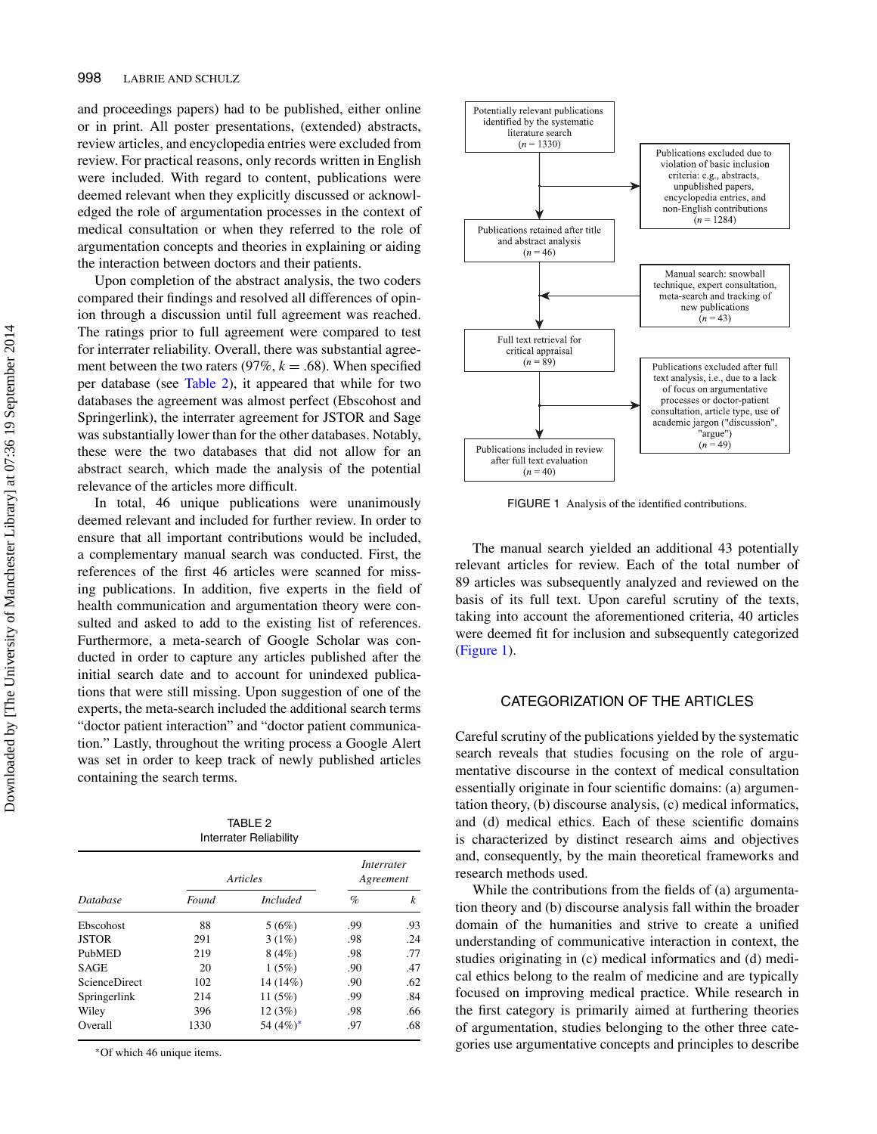and proceedings papers) had to be published, either online or in print. All poster presentations, (extended) abstracts, review articles, and encyclopedia entries were excluded from review. For practical reasons, only records written in English were included. With regard to content, publications were deemed relevant when they explicitly discussed or acknowledged the role of argumentation processes in the context of medical consultation or when they referred to the role of argumentation concepts and theories in explaining or aiding the interaction between doctors and their patients.

Upon completion of the abstract analysis, the two coders compared their findings and resolved all differences of opinion through a discussion until full agreement was reached. The ratings prior to full agreement were compared to test for interrater reliability. Overall, there was substantial agreement between the two raters  $(97\%, k = .68)$ . When specified per database (see [Table 2\)](#page-2-0), it appeared that while for two databases the agreement was almost perfect (Ebscohost and Springerlink), the interrater agreement for JSTOR and Sage was substantially lower than for the other databases. Notably, these were the two databases that did not allow for an abstract search, which made the analysis of the potential relevance of the articles more difficult.

In total, 46 unique publications were unanimously deemed relevant and included for further review. In order to ensure that all important contributions would be included, a complementary manual search was conducted. First, the references of the first 46 articles were scanned for missing publications. In addition, five experts in the field of health communication and argumentation theory were consulted and asked to add to the existing list of references. Furthermore, a meta-search of Google Scholar was conducted in order to capture any articles published after the initial search date and to account for unindexed publications that were still missing. Upon suggestion of one of the experts, the meta-search included the additional search terms "doctor patient interaction" and "doctor patient communication." Lastly, throughout the writing process a Google Alert was set in order to keep track of newly published articles containing the search terms.

<span id="page-2-0"></span>TABLE 2 Interrater Reliability

|                      |       | <i>Articles</i> |      | <i>Interrater</i><br>Agreement |
|----------------------|-------|-----------------|------|--------------------------------|
| <b>Database</b>      | Found | <i>Included</i> | $\%$ | k                              |
| Ebscohost            | 88    | 5(6%)           | .99  | .93                            |
| <b>JSTOR</b>         | 291   | 3(1%)           | .98  | .24                            |
| PubMED               | 219   | 8(4%)           | .98  | .77                            |
| <b>SAGE</b>          | 20    | 1(5%)           | .90  | .47                            |
| <b>ScienceDirect</b> | 102   | 14 (14%)        | .90  | .62                            |
| Springerlink         | 214   | 11 $(5%)$       | .99  | .84                            |
| Wiley                | 396   | 12(3%)          | .98  | .66                            |
| Overall              | 1330  | 54 $(4%)^*$     | .97  | .68                            |

∗Of which 46 unique items.

<span id="page-2-1"></span>

FIGURE 1 Analysis of the identified contributions.

The manual search yielded an additional 43 potentially relevant articles for review. Each of the total number of 89 articles was subsequently analyzed and reviewed on the basis of its full text. Upon careful scrutiny of the texts, taking into account the aforementioned criteria, 40 articles were deemed fit for inclusion and subsequently categorized [\(Figure 1\)](#page-2-1).

# CATEGORIZATION OF THE ARTICLES

Careful scrutiny of the publications yielded by the systematic search reveals that studies focusing on the role of argumentative discourse in the context of medical consultation essentially originate in four scientific domains: (a) argumentation theory, (b) discourse analysis, (c) medical informatics, and (d) medical ethics. Each of these scientific domains is characterized by distinct research aims and objectives and, consequently, by the main theoretical frameworks and research methods used.

While the contributions from the fields of (a) argumentation theory and (b) discourse analysis fall within the broader domain of the humanities and strive to create a unified understanding of communicative interaction in context, the studies originating in (c) medical informatics and (d) medical ethics belong to the realm of medicine and are typically focused on improving medical practice. While research in the first category is primarily aimed at furthering theories of argumentation, studies belonging to the other three categories use argumentative concepts and principles to describe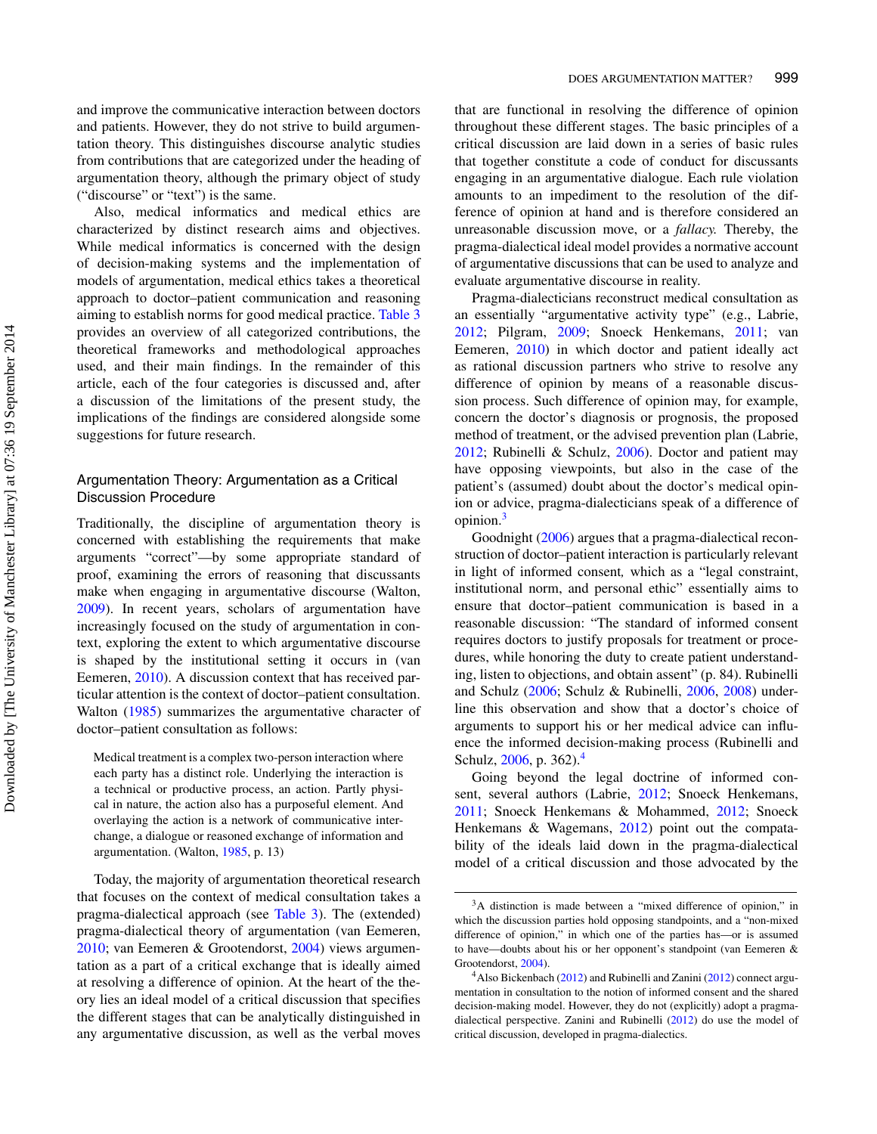Also, medical informatics and medical ethics are characterized by distinct research aims and objectives. While medical informatics is concerned with the design of decision-making systems and the implementation of models of argumentation, medical ethics takes a theoretical approach to doctor–patient communication and reasoning aiming to establish norms for good medical practice. [Table 3](#page-4-0) provides an overview of all categorized contributions, the theoretical frameworks and methodological approaches used, and their main findings. In the remainder of this article, each of the four categories is discussed and, after a discussion of the limitations of the present study, the implications of the findings are considered alongside some suggestions for future research.

# Argumentation Theory: Argumentation as a Critical Discussion Procedure

Traditionally, the discipline of argumentation theory is concerned with establishing the requirements that make arguments "correct"—by some appropriate standard of proof, examining the errors of reasoning that discussants make when engaging in argumentative discourse (Walton, [2009\)](#page-12-2). In recent years, scholars of argumentation have increasingly focused on the study of argumentation in context, exploring the extent to which argumentative discourse is shaped by the institutional setting it occurs in (van Eemeren, [2010\)](#page-12-1). A discussion context that has received particular attention is the context of doctor–patient consultation. Walton [\(1985\)](#page-12-3) summarizes the argumentative character of doctor–patient consultation as follows:

Medical treatment is a complex two-person interaction where each party has a distinct role. Underlying the interaction is a technical or productive process, an action. Partly physical in nature, the action also has a purposeful element. And overlaying the action is a network of communicative interchange, a dialogue or reasoned exchange of information and argumentation. (Walton, [1985,](#page-12-3) p. 13)

Today, the majority of argumentation theoretical research that focuses on the context of medical consultation takes a pragma-dialectical approach (see [Table 3\)](#page-4-0). The (extended) pragma-dialectical theory of argumentation (van Eemeren, [2010;](#page-12-1) van Eemeren & Grootendorst, [2004\)](#page-12-4) views argumentation as a part of a critical exchange that is ideally aimed at resolving a difference of opinion. At the heart of the theory lies an ideal model of a critical discussion that specifies the different stages that can be analytically distinguished in any argumentative discussion, as well as the verbal moves

that are functional in resolving the difference of opinion throughout these different stages. The basic principles of a critical discussion are laid down in a series of basic rules that together constitute a code of conduct for discussants engaging in an argumentative dialogue. Each rule violation amounts to an impediment to the resolution of the difference of opinion at hand and is therefore considered an unreasonable discussion move, or a *fallacy.* Thereby, the pragma-dialectical ideal model provides a normative account of argumentative discussions that can be used to analyze and evaluate argumentative discourse in reality.

Pragma-dialecticians reconstruct medical consultation as an essentially "argumentative activity type" (e.g., Labrie, [2012;](#page-11-5) Pilgram, [2009;](#page-11-6) Snoeck Henkemans, [2011;](#page-12-5) van Eemeren, [2010\)](#page-12-1) in which doctor and patient ideally act as rational discussion partners who strive to resolve any difference of opinion by means of a reasonable discussion process. Such difference of opinion may, for example, concern the doctor's diagnosis or prognosis, the proposed method of treatment, or the advised prevention plan (Labrie, [2012;](#page-11-5) Rubinelli & Schulz,  $2006$ ). Doctor and patient may have opposing viewpoints, but also in the case of the patient's (assumed) doubt about the doctor's medical opinion or advice, pragma-dialecticians speak of a difference of opinion.[3](#page-3-0)

Goodnight [\(2006\)](#page-11-8) argues that a pragma-dialectical reconstruction of doctor–patient interaction is particularly relevant in light of informed consent*,* which as a "legal constraint, institutional norm, and personal ethic" essentially aims to ensure that doctor–patient communication is based in a reasonable discussion: "The standard of informed consent requires doctors to justify proposals for treatment or procedures, while honoring the duty to create patient understanding, listen to objections, and obtain assent" (p. 84). Rubinelli and Schulz [\(2006;](#page-11-7) Schulz & Rubinelli, [2006,](#page-11-9) [2008\)](#page-11-10) underline this observation and show that a doctor's choice of arguments to support his or her medical advice can influence the informed decision-making process (Rubinelli and Schulz, [2006,](#page-11-7) p. 362).<sup>4</sup>

Going beyond the legal doctrine of informed consent, several authors (Labrie, [2012;](#page-11-5) Snoeck Henkemans, [2011;](#page-12-5) Snoeck Henkemans & Mohammed, [2012;](#page-12-6) Snoeck Henkemans & Wagemans, [2012\)](#page-12-7) point out the compatability of the ideals laid down in the pragma-dialectical model of a critical discussion and those advocated by the

<sup>&</sup>lt;sup>3</sup>A distinction is made between a "mixed difference of opinion," in which the discussion parties hold opposing standpoints, and a "non-mixed difference of opinion," in which one of the parties has—or is assumed to have—doubts about his or her opponent's standpoint (van Eemeren & Grootendorst, [2004\)](#page-12-4).

<span id="page-3-1"></span><span id="page-3-0"></span> $4$ Also Bickenbach [\(2012\)](#page-11-7) and Rubinelli and Zanini (2012) connect argumentation in consultation to the notion of informed consent and the shared decision-making model. However, they do not (explicitly) adopt a pragmadialectical perspective. Zanini and Rubinelli [\(2012\)](#page-12-8) do use the model of critical discussion, developed in pragma-dialectics.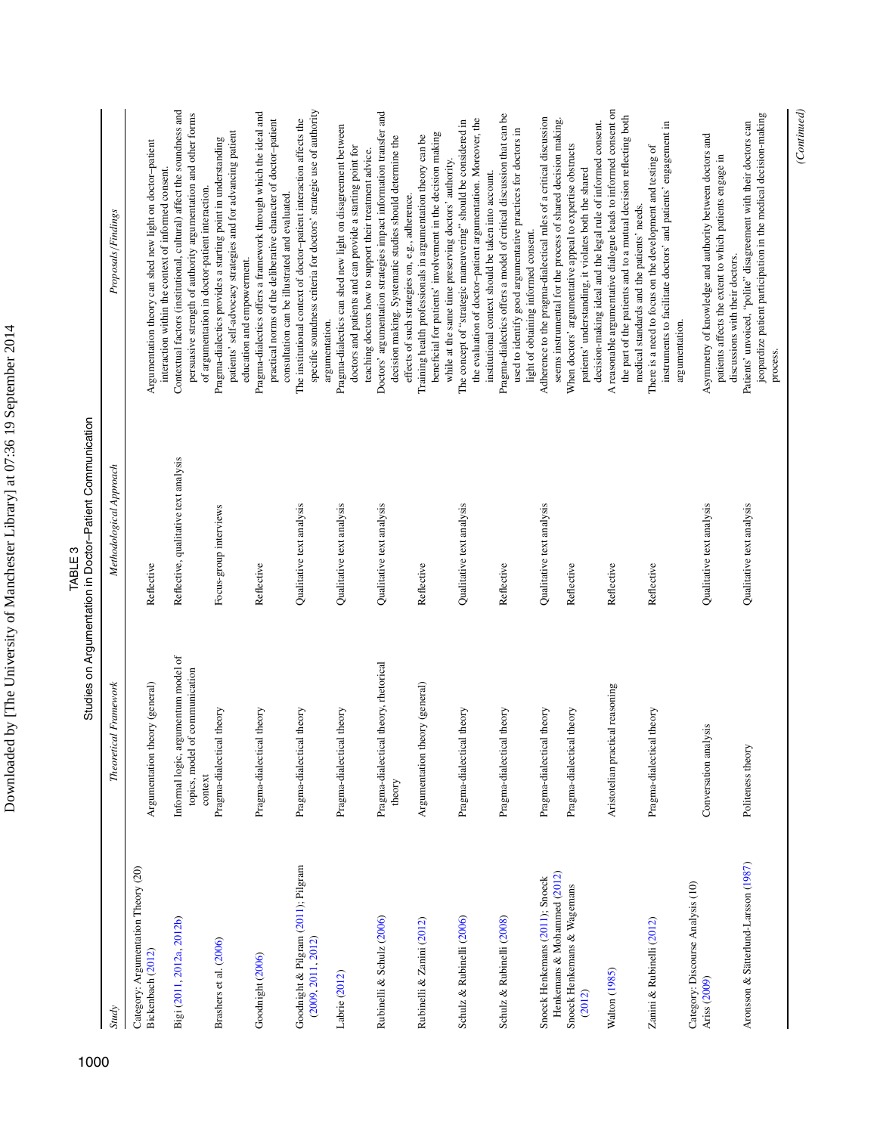Downloaded by [The University of Manchester Library] at 07:36 19 September 2014 Downloaded by [The University of Manchester Library] at 07:36 19 September 2014

| <b>Study</b>                                                                                            | Theoretical Framework                                                            | Methodological Approach                 | Proposals/Findings                                                                                                                                                                                                                                       |
|---------------------------------------------------------------------------------------------------------|----------------------------------------------------------------------------------|-----------------------------------------|----------------------------------------------------------------------------------------------------------------------------------------------------------------------------------------------------------------------------------------------------------|
| Category: Argumentation Theory (20)<br>Bickenbach (2012)                                                | Argumentation theory (general)                                                   | Reflective                              | Argumentation theory can shed new light on doctor-patient<br>interaction within the context of informed consent.                                                                                                                                         |
| Bigi (2011, 2012a, 2012b)                                                                               | Informal logic, argumentum model of<br>topics, model of communication<br>context | Reflective, qualitative text analysis   | Contextual factors (institutional, cultural) affect the soundness and<br>persuasive strength of authority argumentation and other forms<br>of argumentation in doctor-patient interaction.                                                               |
| Brashers et al. (2006)                                                                                  | Pragma-dialectical theory                                                        | Focus-group interviews                  | patients' self-advocacy strategies and for advancing patient<br>Pragma-dialectics provides a starting point in understanding<br>education and empowerment.                                                                                               |
| Goodnight (2006)                                                                                        | Pragma-dialectical theory                                                        | Reflective                              | Pragma-dialectics offers a framework through which the ideal and<br>practical norms of the deliberative character of doctor-patient<br>consultation can be illustrated and evaluated.                                                                    |
| Goodnight & Pilgram (2011); Pilgram<br>(2009, 2011, 2012)                                               | Pragma-dialectical theory                                                        | Qualitative text analysis               | specific soundness criteria for doctors' strategic use of authority<br>The institutional context of doctor-patient interaction affects the<br>argumentation.                                                                                             |
| Labrie (2012)                                                                                           | Pragma-dialectical theory                                                        | Qualitative text analysis               | Pragma-dialectics can shed new light on disagreement between<br>doctors and patients and can provide a starting point for<br>teaching doctors how to support their treatment advice.                                                                     |
| Rubinelli & Schulz (2006)                                                                               | Pragma-dialectical theory, rhetorical<br>theory                                  | Qualitative text analysis               | Doctors' argumentation strategies impact information transfer and<br>decision making. Systematic studies should determine the                                                                                                                            |
| Rubinelli & Zanini (2012)                                                                               | Argumentation theory (general)                                                   | Reflective                              | beneficial for patients' involvement in the decision making<br>Training health professionals in argumentation theory can be<br>while at the same time preserving doctors' authority.<br>effects of such strategies on, e.g., adherence.                  |
| Schulz & Rubinelli (2006)                                                                               | Pragma-dialectical theory                                                        | Qualitative text analysis               | the evaluation of doctor-patient argumentation. Moreover, the<br>The concept of "strategic maneuvering" should be considered in<br>institutional context should be taken into account.                                                                   |
| Schulz & Rubinelli (2008)                                                                               | Pragma-dialectical theory                                                        | Reflective                              | Pragma-dialectics offers a model of critical discussion that can be<br>used to identify good argumentative practices for doctors in<br>light of obtaining informed consent.                                                                              |
| Henkemans & Mohammed (2012)<br>Snoeck Henkemans (2011); Snoeck<br>Snoeck Henkemans & Wagemans<br>(2012) | Pragma-dialectical theory<br>Pragma-dialectical theory                           | Qualitative text analysis<br>Reflective | Adherence to the pragma-dialectical rules of a critical discussion<br>seems instrumental for the process of shared decision making.<br>When doctors' argumentative appeal to expertise obstructs<br>patients' understanding, it violates both the shared |
| Walton (1985)                                                                                           | Aristotelian practical reasoning                                                 | Reflective                              | A reasonable argumentative dialogue leads to informed consent on<br>the part of the patients and to a mutual decision reflecting both<br>decision-making ideal and the legal rule of informed consent.                                                   |
| Zanini & Rubinelli (2012)                                                                               | Pragma-dialectical theory                                                        | Reflective                              | instruments to facilitate doctors' and patients' engagement in<br>There is a need to focus on the development and testing of<br>medical standards and the patients' needs.<br>argumentation.                                                             |
| Category: Discourse Analysis (10)<br>Ariss (2009)                                                       | Conversation analysis                                                            | Qualitative text analysis               | Asymmetry of knowledge and authority between doctors and<br>patients affects the extent to which patients engage in                                                                                                                                      |
| Aronsson & Sätterlund-Larsson (1987)                                                                    | Politeness theory                                                                | Qualitative text analysis               | jeopardize patient participation in the medical decision-making<br>Patients' unvoiced, "polite" disagreement with their doctors can<br>discussions with their doctors.<br>process.                                                                       |

# TABLE 3<br>Studies on Argumentation in Doctor-Patient Communication Studies on Argumentation in Doctor–Patient Communication

<span id="page-4-0"></span> $(Gonimed)$ *(Continued)*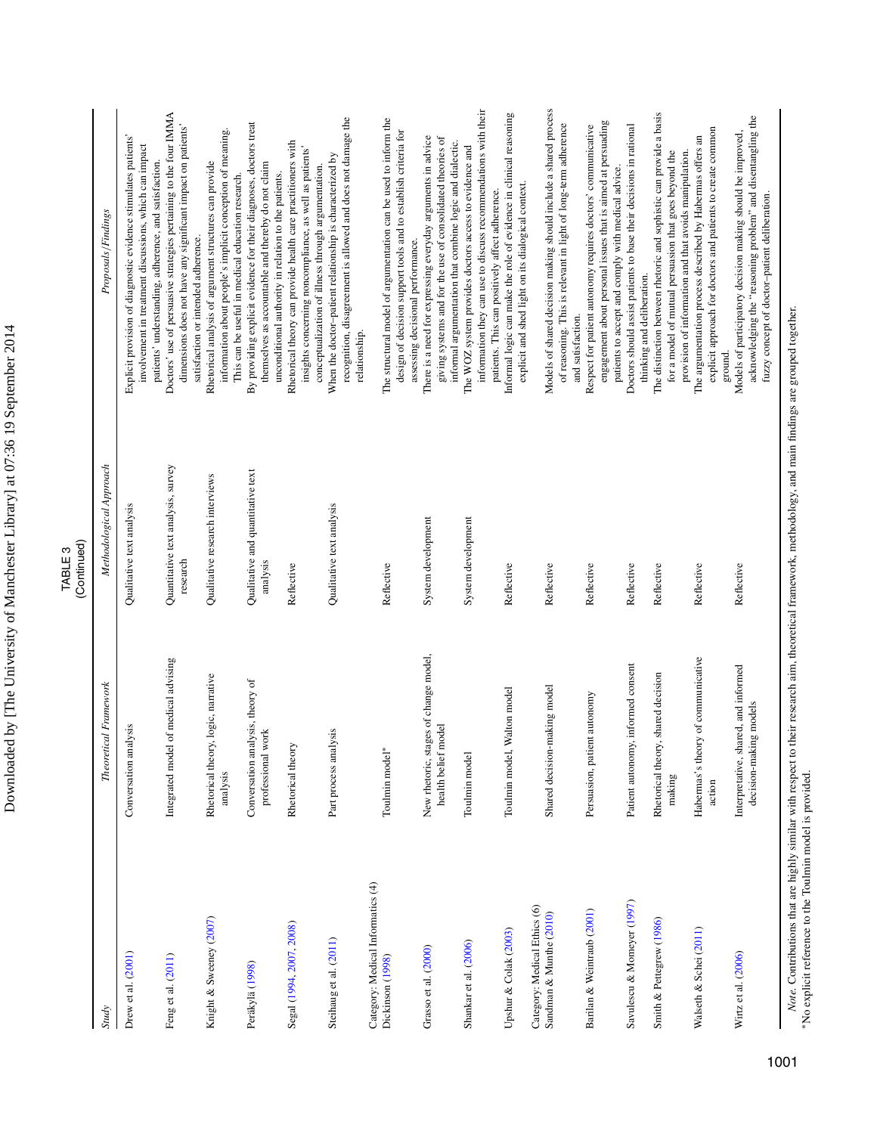Downloaded by [The University of Manchester Library] at 07:36 19 September 2014 Downloaded by [The University of Manchester Library] at 07:36 19 September 2014

|--|--|

| <b>Study</b>                                            | Theoretical Framework                                          | Methodological Approach                        | Proposals/Findings                                                                                                                                                                    |
|---------------------------------------------------------|----------------------------------------------------------------|------------------------------------------------|---------------------------------------------------------------------------------------------------------------------------------------------------------------------------------------|
| Drew et al. (2001)                                      | Conversation analysis                                          | Qualitative text analysis                      | Explicit provision of diagnostic evidence stimulates patients'<br>involvement in treatment discussions, which can impact<br>patients' understanding, adherence, and satisfaction.     |
| Feng et al. (2011)                                      | Integrated model of medical advising                           | Quantitative text analysis, survey<br>research | Doctors' use of persuasive strategies pertaining to the four IMMA<br>dimensions does not have any significant impact on patients'<br>satisfaction or intended adherence.              |
| Knight & Sweeney (2007)                                 | Rhetorical theory, logic, narrative<br>analysis                | Qualitative research interviews                | information about people's implicit conception of meaning.<br>Rhetorical analysis of argument structures can provide<br>This can be useful in medical education research              |
| Peräkylä (1998)                                         | Conversation analysis, theory of<br>professional work          | Qualitative and quantitative text<br>analysis  | By providing explicit evidence for their diagnoses, doctors treat<br>themselves as accountable and thereby do not claim<br>unconditional authority in relation to the patients.       |
| Segal (1994, 2007, 2008)                                | Rhetorical theory                                              | Reflective                                     | Rhetorical theory can provide health care practitioners with<br>insights concerning noncompliance, as well as patients'<br>conceptualization of illness through argumentation.        |
| Steihaug et al. (2011)                                  | Part process analysis                                          | Qualitative text analysis                      | recognition, disagreement is allowed and does not damage the<br>When the doctor-patient relationship is characterized by<br>relationship.                                             |
| Category: Medical Informatics (4)<br>Dickinson (1998)   | Toulmin model*                                                 | Reflective                                     | The structural model of argumentation can be used to inform the<br>design of decision support tools and to establish criteria for<br>assessing decisional performance.                |
| Grasso et al. (2000)                                    | New rhetoric, stages of change model,<br>health belief model   | System development                             | There is a need for expressing everyday arguments in advice<br>giving systems and for the use of consolidated theories of<br>informal argumentation that combine logic and dialectic. |
| Shankar et al. (2006)                                   | Toulmin model                                                  | System development                             | information they can use to discuss recommendations with their<br>The WOZ system provides doctors access to evidence and<br>patients. This can positively affect adherence.           |
| Upshur & Colak (2003)                                   | Walton model<br>Toulmin model,                                 | Reflective                                     | Informal logic can make the role of evidence in clinical reasoning<br>explicit and shed light on its dialogical context.                                                              |
| Category: Medical Ethics (6)<br>Sandman & Munthe (2010) | Shared decision-making model                                   | Reflective                                     | Models of shared decision making should include a shared process<br>of reasoning. This is relevant in light of long-term adherence<br>and satisfaction.                               |
| Barilan & Weintraub (2001)                              | Persuasion, patient autonomy                                   | Reflective                                     | engagement about personal issues that is aimed at persuading<br>Respect for patient autonomy requires doctors' communicative<br>patients to accept and comply with medical advice.    |
| Savulescu & Momeyer (1997)                              | Patient autonomy, informed consent                             | Reflective                                     | Doctors should assist patients to base their decisions in rational<br>thinking and deliberation.                                                                                      |
| Smith & Pettegrew (1986)                                | Rhetorical theory, shared decision<br>making                   | Reflective                                     | The distinction between rhetoric and sophistic can provide a basis<br>for a model of mutual persuasion that goes beyond the<br>provision of information and that avoids manipulation. |
| Walseth & Schei (2011)                                  | Habermas's theory of communicative<br>action                   | Reflective                                     | explicit approach for doctors and patients to create common<br>The argumentation process described by Habermas offers an<br>ground.                                                   |
| Wirtz et al. (2006)                                     | Interpretative, shared, and informed<br>decision-making models | Reflective                                     | acknowledging the "reasoning problem" and disentangling the<br>Models of participatory decision making should be improved,<br>fuzzy concept of doctor-patient deliberation.           |

Note. Contributions that are highly similar with respect to their research aim, theoretical framework, methodology, and main findings are grouped together.<br>\*No explicit reference to the Toulmin model is provided. *Note.* Contributions that are highly similar with respect to their research aim, theoretical framework, methodology, and main findings are grouped together. ∗No explicit reference to the Toulmin model is provided.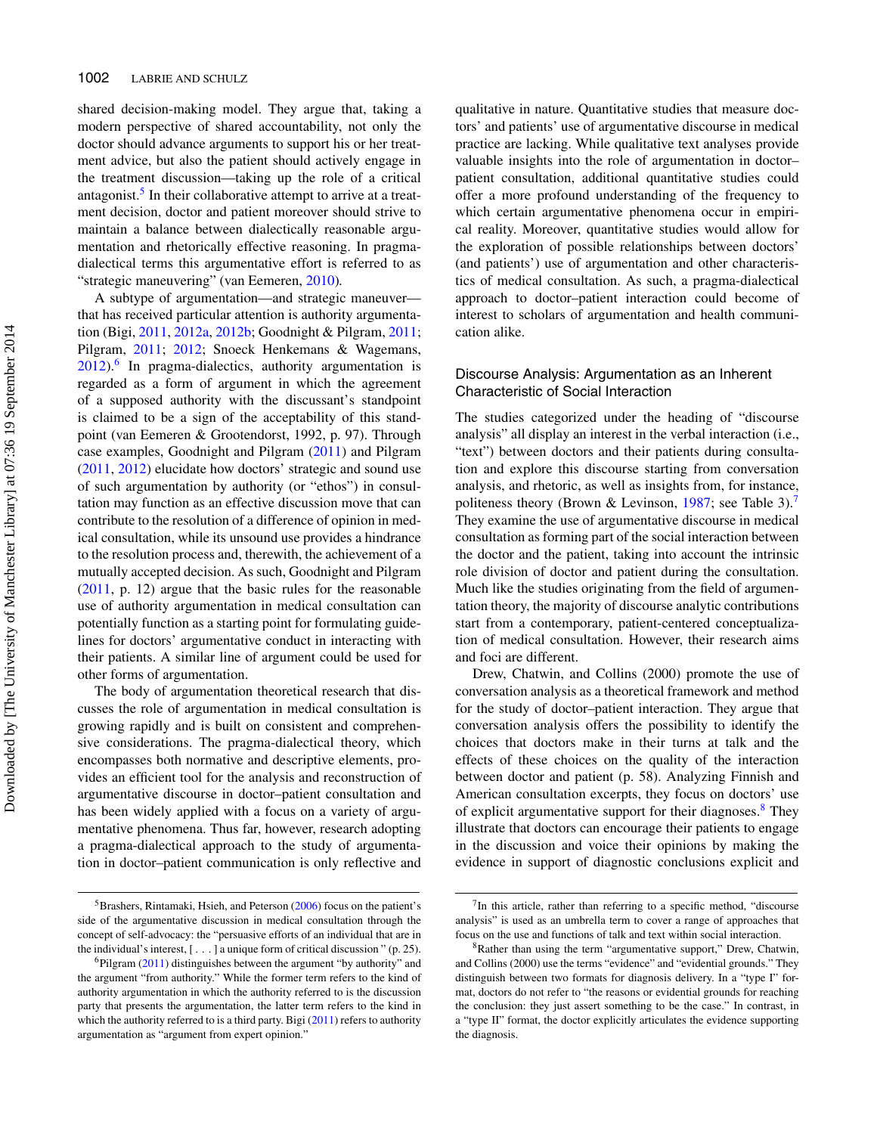shared decision-making model. They argue that, taking a modern perspective of shared accountability, not only the doctor should advance arguments to support his or her treatment advice, but also the patient should actively engage in the treatment discussion—taking up the role of a critical antagonist. $5$  In their collaborative attempt to arrive at a treatment decision, doctor and patient moreover should strive to maintain a balance between dialectically reasonable argumentation and rhetorically effective reasoning. In pragmadialectical terms this argumentative effort is referred to as "strategic maneuvering" (van Eemeren, [2010\)](#page-12-1)*.*

A subtype of argumentation—and strategic maneuver that has received particular attention is authority argumentation (Bigi, [2011,](#page-11-12) [2012a,](#page-11-13) [2012b;](#page-11-14) Goodnight & Pilgram, [2011;](#page-11-16) Pilgram, [2011;](#page-11-16) [2012;](#page-11-17) Snoeck Henkemans & Wagemans,  $2012$ <sup>6</sup>. In pragma-dialectics, authority argumentation is regarded as a form of argument in which the agreement of a supposed authority with the discussant's standpoint is claimed to be a sign of the acceptability of this standpoint (van Eemeren & Grootendorst, 1992, p. 97). Through case examples, Goodnight and Pilgram [\(2011\)](#page-11-16) and Pilgram [\(2011,](#page-11-16) [2012\)](#page-11-17) elucidate how doctors' strategic and sound use of such argumentation by authority (or "ethos") in consultation may function as an effective discussion move that can contribute to the resolution of a difference of opinion in medical consultation, while its unsound use provides a hindrance to the resolution process and, therewith, the achievement of a mutually accepted decision. As such, Goodnight and Pilgram [\(2011,](#page-11-16) p. 12) argue that the basic rules for the reasonable use of authority argumentation in medical consultation can potentially function as a starting point for formulating guidelines for doctors' argumentative conduct in interacting with their patients. A similar line of argument could be used for other forms of argumentation.

The body of argumentation theoretical research that discusses the role of argumentation in medical consultation is growing rapidly and is built on consistent and comprehensive considerations. The pragma-dialectical theory, which encompasses both normative and descriptive elements, provides an efficient tool for the analysis and reconstruction of argumentative discourse in doctor–patient consultation and has been widely applied with a focus on a variety of argumentative phenomena. Thus far, however, research adopting a pragma-dialectical approach to the study of argumentation in doctor–patient communication is only reflective and

qualitative in nature. Quantitative studies that measure doctors' and patients' use of argumentative discourse in medical practice are lacking. While qualitative text analyses provide valuable insights into the role of argumentation in doctor– patient consultation, additional quantitative studies could offer a more profound understanding of the frequency to which certain argumentative phenomena occur in empirical reality. Moreover, quantitative studies would allow for the exploration of possible relationships between doctors' (and patients') use of argumentation and other characteristics of medical consultation. As such, a pragma-dialectical approach to doctor–patient interaction could become of interest to scholars of argumentation and health communication alike.

### Discourse Analysis: Argumentation as an Inherent Characteristic of Social Interaction

The studies categorized under the heading of "discourse analysis" all display an interest in the verbal interaction (i.e., "text") between doctors and their patients during consultation and explore this discourse starting from conversation analysis, and rhetoric, as well as insights from, for instance, politeness theory (Brown & Levinson, [1987;](#page-11-29) see Table 3).<sup>[7](#page-6-2)</sup> They examine the use of argumentative discourse in medical consultation as forming part of the social interaction between the doctor and the patient, taking into account the intrinsic role division of doctor and patient during the consultation. Much like the studies originating from the field of argumentation theory, the majority of discourse analytic contributions start from a contemporary, patient-centered conceptualization of medical consultation. However, their research aims and foci are different.

Drew, Chatwin, and Collins (2000) promote the use of conversation analysis as a theoretical framework and method for the study of doctor–patient interaction. They argue that conversation analysis offers the possibility to identify the choices that doctors make in their turns at talk and the effects of these choices on the quality of the interaction between doctor and patient (p. 58). Analyzing Finnish and American consultation excerpts, they focus on doctors' use of explicit argumentative support for their diagnoses.<sup>[8](#page-6-3)</sup> They illustrate that doctors can encourage their patients to engage in the discussion and voice their opinions by making the evidence in support of diagnostic conclusions explicit and

 $5B$ rashers, Rintamaki, Hsieh, and Peterson  $(2006)$  focus on the patient's side of the argumentative discussion in medical consultation through the concept of self-advocacy: the "persuasive efforts of an individual that are in the individual's interest, [ *...* ] a unique form of critical discussion " (p. 25).

 $6P$ ilgram [\(2011\)](#page-11-16) distinguishes between the argument "by authority" and the argument "from authority." While the former term refers to the kind of authority argumentation in which the authority referred to is the discussion party that presents the argumentation, the latter term refers to the kind in which the authority referred to is a third party. Bigi  $(2011)$  refers to authority argumentation as "argument from expert opinion."

<sup>7</sup>In this article, rather than referring to a specific method, "discourse analysis" is used as an umbrella term to cover a range of approaches that focus on the use and functions of talk and text within social interaction.

<span id="page-6-3"></span><span id="page-6-2"></span><span id="page-6-1"></span><span id="page-6-0"></span><sup>8</sup>Rather than using the term "argumentative support," Drew, Chatwin, and Collins (2000) use the terms "evidence" and "evidential grounds." They distinguish between two formats for diagnosis delivery. In a "type I" format, doctors do not refer to "the reasons or evidential grounds for reaching the conclusion: they just assert something to be the case." In contrast, in a "type II" format, the doctor explicitly articulates the evidence supporting the diagnosis.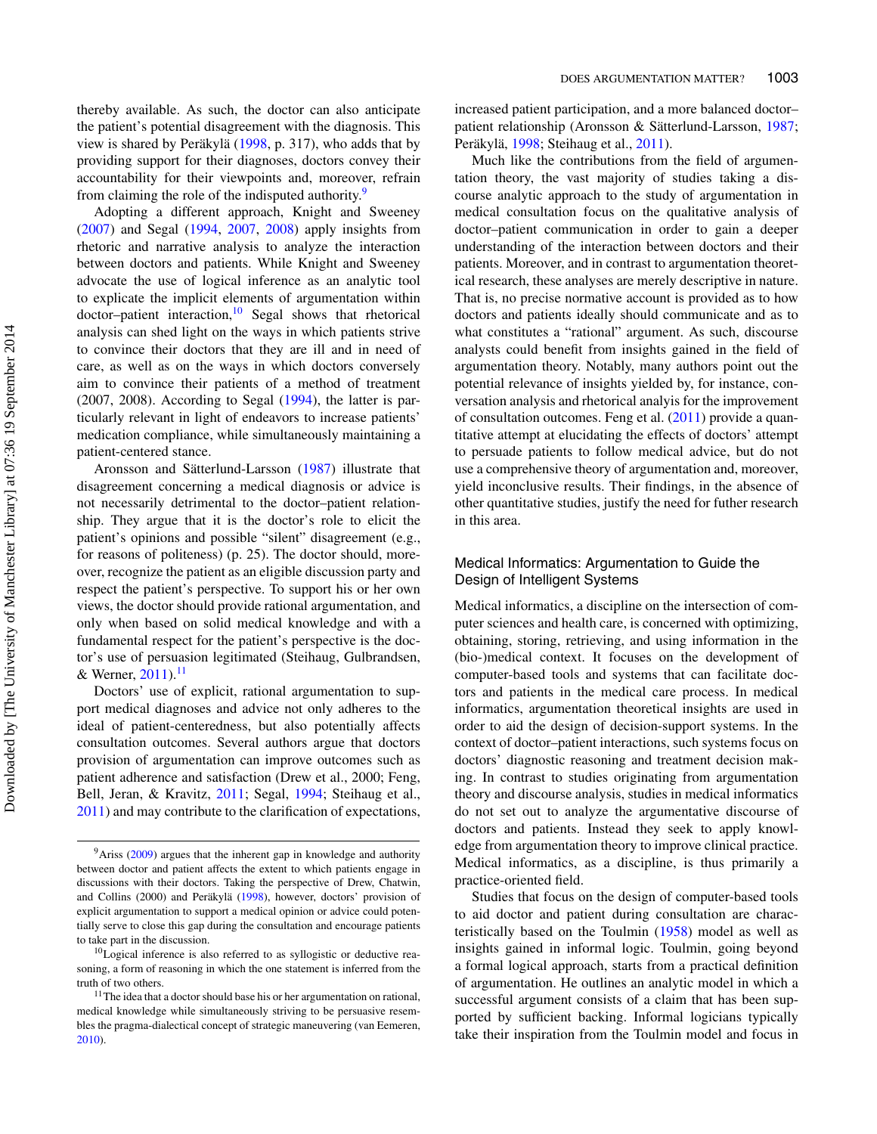thereby available. As such, the doctor can also anticipate the patient's potential disagreement with the diagnosis. This view is shared by Peräkylä [\(1998,](#page-11-23) p. 317), who adds that by providing support for their diagnoses, doctors convey their accountability for their viewpoints and, moreover, refrain from claiming the role of the indisputed authority.<sup>9</sup>

Adopting a different approach, Knight and Sweeney [\(2007\)](#page-11-22) and Segal [\(1994,](#page-12-9) [2007,](#page-12-10) [2008\)](#page-12-11) apply insights from rhetoric and narrative analysis to analyze the interaction between doctors and patients. While Knight and Sweeney advocate the use of logical inference as an analytic tool to explicate the implicit elements of argumentation within doctor-patient interaction,<sup>[10](#page-7-1)</sup> Segal shows that rhetorical analysis can shed light on the ways in which patients strive to convince their doctors that they are ill and in need of care, as well as on the ways in which doctors conversely aim to convince their patients of a method of treatment (2007, 2008). According to Segal [\(1994\)](#page-12-9), the latter is particularly relevant in light of endeavors to increase patients' medication compliance, while simultaneously maintaining a patient-centered stance.

Aronsson and Sätterlund-Larsson [\(1987\)](#page-11-19) illustrate that disagreement concerning a medical diagnosis or advice is not necessarily detrimental to the doctor–patient relationship. They argue that it is the doctor's role to elicit the patient's opinions and possible "silent" disagreement (e.g., for reasons of politeness) (p. 25). The doctor should, moreover, recognize the patient as an eligible discussion party and respect the patient's perspective. To support his or her own views, the doctor should provide rational argumentation, and only when based on solid medical knowledge and with a fundamental respect for the patient's perspective is the doctor's use of persuasion legitimated (Steihaug, Gulbrandsen, & Werner,  $2011$ ).<sup>11</sup>

Doctors' use of explicit, rational argumentation to support medical diagnoses and advice not only adheres to the ideal of patient-centeredness, but also potentially affects consultation outcomes. Several authors argue that doctors provision of argumentation can improve outcomes such as patient adherence and satisfaction (Drew et al., 2000; Feng, Bell, Jeran, & Kravitz, [2011;](#page-11-21) Segal, [1994;](#page-12-9) Steihaug et al., [2011\)](#page-12-12) and may contribute to the clarification of expectations,

increased patient participation, and a more balanced doctor– patient relationship (Aronsson & Sätterlund-Larsson, [1987;](#page-11-19) Peräkylä, [1998;](#page-11-23) Steihaug et al., [2011\)](#page-12-12).

Much like the contributions from the field of argumentation theory, the vast majority of studies taking a discourse analytic approach to the study of argumentation in medical consultation focus on the qualitative analysis of doctor–patient communication in order to gain a deeper understanding of the interaction between doctors and their patients. Moreover, and in contrast to argumentation theoretical research, these analyses are merely descriptive in nature. That is, no precise normative account is provided as to how doctors and patients ideally should communicate and as to what constitutes a "rational" argument. As such, discourse analysts could benefit from insights gained in the field of argumentation theory. Notably, many authors point out the potential relevance of insights yielded by, for instance, conversation analysis and rhetorical analyis for the improvement of consultation outcomes. Feng et al. [\(2011\)](#page-11-21) provide a quantitative attempt at elucidating the effects of doctors' attempt to persuade patients to follow medical advice, but do not use a comprehensive theory of argumentation and, moreover, yield inconclusive results. Their findings, in the absence of other quantitative studies, justify the need for futher research in this area.

# Medical Informatics: Argumentation to Guide the Design of Intelligent Systems

Medical informatics, a discipline on the intersection of computer sciences and health care, is concerned with optimizing, obtaining, storing, retrieving, and using information in the (bio-)medical context. It focuses on the development of computer-based tools and systems that can facilitate doctors and patients in the medical care process. In medical informatics, argumentation theoretical insights are used in order to aid the design of decision-support systems. In the context of doctor–patient interactions, such systems focus on doctors' diagnostic reasoning and treatment decision making. In contrast to studies originating from argumentation theory and discourse analysis, studies in medical informatics do not set out to analyze the argumentative discourse of doctors and patients. Instead they seek to apply knowledge from argumentation theory to improve clinical practice. Medical informatics, as a discipline, is thus primarily a practice-oriented field.

Studies that focus on the design of computer-based tools to aid doctor and patient during consultation are characteristically based on the Toulmin [\(1958\)](#page-12-18) model as well as insights gained in informal logic. Toulmin, going beyond a formal logical approach, starts from a practical definition of argumentation. He outlines an analytic model in which a successful argument consists of a claim that has been supported by sufficient backing. Informal logicians typically take their inspiration from the Toulmin model and focus in

 $9$ Ariss [\(2009\)](#page-11-18) argues that the inherent gap in knowledge and authority between doctor and patient affects the extent to which patients engage in discussions with their doctors. Taking the perspective of Drew, Chatwin, and Collins (2000) and Peräkylä [\(1998\)](#page-11-23), however, doctors' provision of explicit argumentation to support a medical opinion or advice could potentially serve to close this gap during the consultation and encourage patients to take part in the discussion.

<span id="page-7-0"></span><sup>10</sup>Logical inference is also referred to as syllogistic or deductive reasoning, a form of reasoning in which the one statement is inferred from the truth of two others.

<span id="page-7-2"></span><span id="page-7-1"></span><sup>&</sup>lt;sup>11</sup>The idea that a doctor should base his or her argumentation on rational, medical knowledge while simultaneously striving to be persuasive resembles the pragma-dialectical concept of strategic maneuvering (van Eemeren, [2010\)](#page-12-1).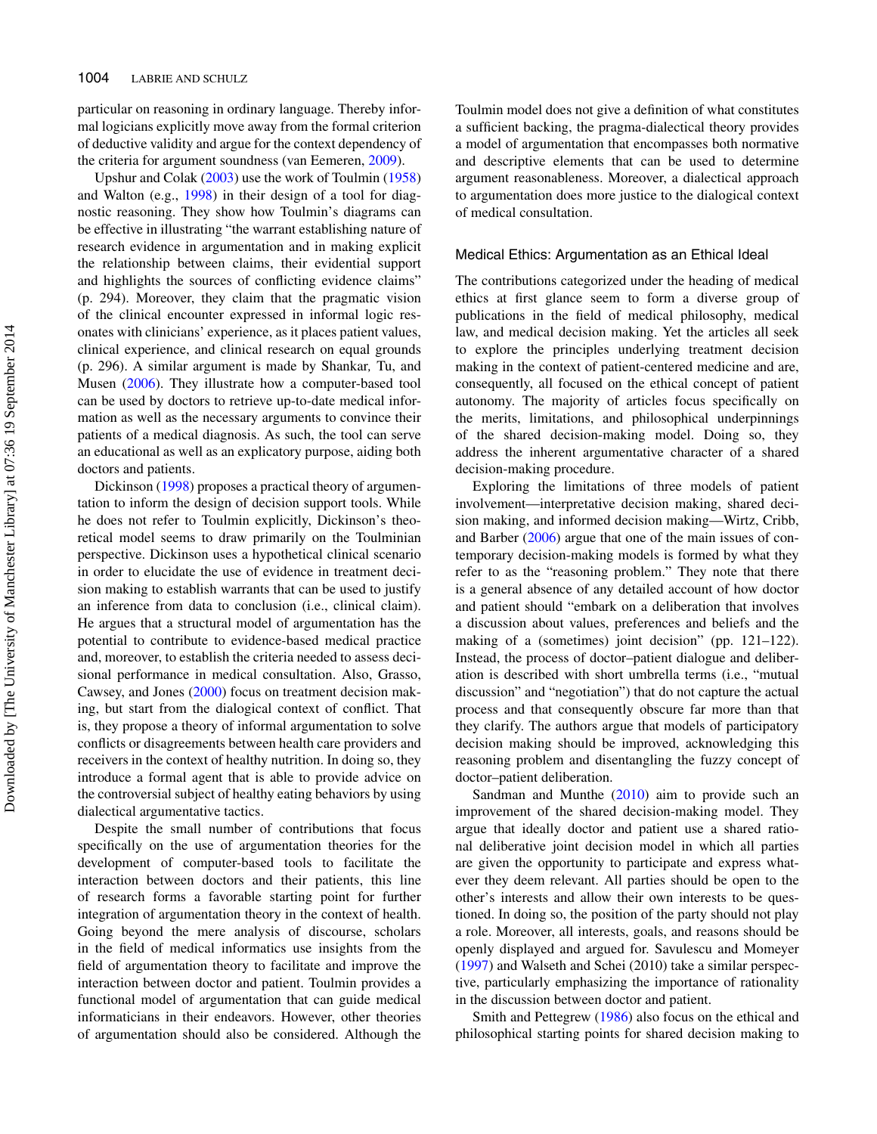particular on reasoning in ordinary language. Thereby informal logicians explicitly move away from the formal criterion of deductive validity and argue for the context dependency of the criteria for argument soundness (van Eemeren, [2009\)](#page-12-19).

Upshur and Colak [\(2003\)](#page-12-14) use the work of Toulmin [\(1958\)](#page-12-18) and Walton (e.g., [1998\)](#page-12-20) in their design of a tool for diagnostic reasoning. They show how Toulmin's diagrams can be effective in illustrating "the warrant establishing nature of research evidence in argumentation and in making explicit the relationship between claims, their evidential support and highlights the sources of conflicting evidence claims" (p. 294). Moreover, they claim that the pragmatic vision of the clinical encounter expressed in informal logic resonates with clinicians' experience, as it places patient values, clinical experience, and clinical research on equal grounds (p. 296). A similar argument is made by Shankar*,* Tu, and Musen [\(2006\)](#page-12-13). They illustrate how a computer-based tool can be used by doctors to retrieve up-to-date medical information as well as the necessary arguments to convince their patients of a medical diagnosis. As such, the tool can serve an educational as well as an explicatory purpose, aiding both doctors and patients.

Dickinson [\(1998\)](#page-11-24) proposes a practical theory of argumentation to inform the design of decision support tools. While he does not refer to Toulmin explicitly, Dickinson's theoretical model seems to draw primarily on the Toulminian perspective. Dickinson uses a hypothetical clinical scenario in order to elucidate the use of evidence in treatment decision making to establish warrants that can be used to justify an inference from data to conclusion (i.e., clinical claim). He argues that a structural model of argumentation has the potential to contribute to evidence-based medical practice and, moreover, to establish the criteria needed to assess decisional performance in medical consultation. Also, Grasso, Cawsey, and Jones [\(2000\)](#page-11-25) focus on treatment decision making, but start from the dialogical context of conflict. That is, they propose a theory of informal argumentation to solve conflicts or disagreements between health care providers and receivers in the context of healthy nutrition. In doing so, they introduce a formal agent that is able to provide advice on the controversial subject of healthy eating behaviors by using dialectical argumentative tactics.

Despite the small number of contributions that focus specifically on the use of argumentation theories for the development of computer-based tools to facilitate the interaction between doctors and their patients, this line of research forms a favorable starting point for further integration of argumentation theory in the context of health. Going beyond the mere analysis of discourse, scholars in the field of medical informatics use insights from the field of argumentation theory to facilitate and improve the interaction between doctor and patient. Toulmin provides a functional model of argumentation that can guide medical informaticians in their endeavors. However, other theories of argumentation should also be considered. Although the

Toulmin model does not give a definition of what constitutes a sufficient backing, the pragma-dialectical theory provides a model of argumentation that encompasses both normative and descriptive elements that can be used to determine argument reasonableness. Moreover, a dialectical approach to argumentation does more justice to the dialogical context of medical consultation.

#### Medical Ethics: Argumentation as an Ethical Ideal

The contributions categorized under the heading of medical ethics at first glance seem to form a diverse group of publications in the field of medical philosophy, medical law, and medical decision making. Yet the articles all seek to explore the principles underlying treatment decision making in the context of patient-centered medicine and are, consequently, all focused on the ethical concept of patient autonomy. The majority of articles focus specifically on the merits, limitations, and philosophical underpinnings of the shared decision-making model. Doing so, they address the inherent argumentative character of a shared decision-making procedure.

Exploring the limitations of three models of patient involvement—interpretative decision making, shared decision making, and informed decision making—Wirtz, Cribb, and Barber [\(2006\)](#page-12-17) argue that one of the main issues of contemporary decision-making models is formed by what they refer to as the "reasoning problem." They note that there is a general absence of any detailed account of how doctor and patient should "embark on a deliberation that involves a discussion about values, preferences and beliefs and the making of a (sometimes) joint decision" (pp. 121–122). Instead, the process of doctor–patient dialogue and deliberation is described with short umbrella terms (i.e., "mutual discussion" and "negotiation") that do not capture the actual process and that consequently obscure far more than that they clarify. The authors argue that models of participatory decision making should be improved, acknowledging this reasoning problem and disentangling the fuzzy concept of doctor–patient deliberation.

Sandman and Munthe [\(2010\)](#page-11-26) aim to provide such an improvement of the shared decision-making model. They argue that ideally doctor and patient use a shared rational deliberative joint decision model in which all parties are given the opportunity to participate and express whatever they deem relevant. All parties should be open to the other's interests and allow their own interests to be questioned. In doing so, the position of the party should not play a role. Moreover, all interests, goals, and reasons should be openly displayed and argued for. Savulescu and Momeyer [\(1997\)](#page-11-28) and Walseth and Schei (2010) take a similar perspective, particularly emphasizing the importance of rationality in the discussion between doctor and patient.

Smith and Pettegrew [\(1986\)](#page-12-15) also focus on the ethical and philosophical starting points for shared decision making to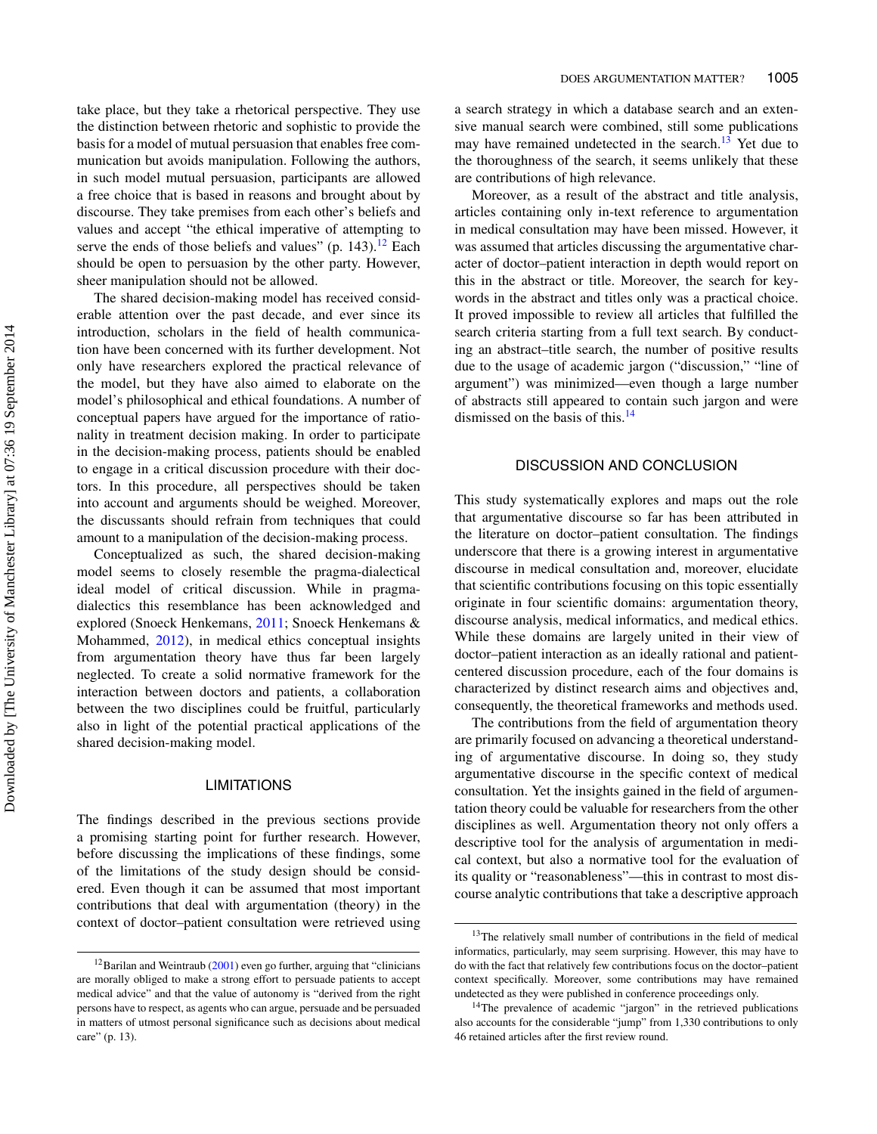take place, but they take a rhetorical perspective. They use the distinction between rhetoric and sophistic to provide the basis for a model of mutual persuasion that enables free communication but avoids manipulation. Following the authors, in such model mutual persuasion, participants are allowed a free choice that is based in reasons and brought about by discourse. They take premises from each other's beliefs and values and accept "the ethical imperative of attempting to serve the ends of those beliefs and values" (p.  $143$ ).<sup>[12](#page-9-0)</sup> Each should be open to persuasion by the other party. However, sheer manipulation should not be allowed.

The shared decision-making model has received considerable attention over the past decade, and ever since its introduction, scholars in the field of health communication have been concerned with its further development. Not only have researchers explored the practical relevance of the model, but they have also aimed to elaborate on the model's philosophical and ethical foundations. A number of conceptual papers have argued for the importance of rationality in treatment decision making. In order to participate in the decision-making process, patients should be enabled to engage in a critical discussion procedure with their doctors. In this procedure, all perspectives should be taken into account and arguments should be weighed. Moreover, the discussants should refrain from techniques that could amount to a manipulation of the decision-making process.

Conceptualized as such, the shared decision-making model seems to closely resemble the pragma-dialectical ideal model of critical discussion. While in pragmadialectics this resemblance has been acknowledged and explored (Snoeck Henkemans, [2011;](#page-12-5) Snoeck Henkemans & Mohammed, [2012\)](#page-12-6), in medical ethics conceptual insights from argumentation theory have thus far been largely neglected. To create a solid normative framework for the interaction between doctors and patients, a collaboration between the two disciplines could be fruitful, particularly also in light of the potential practical applications of the shared decision-making model.

#### LIMITATIONS

The findings described in the previous sections provide a promising starting point for further research. However, before discussing the implications of these findings, some of the limitations of the study design should be considered. Even though it can be assumed that most important contributions that deal with argumentation (theory) in the context of doctor–patient consultation were retrieved using a search strategy in which a database search and an extensive manual search were combined, still some publications may have remained undetected in the search.<sup>13</sup> Yet due to the thoroughness of the search, it seems unlikely that these are contributions of high relevance.

Moreover, as a result of the abstract and title analysis, articles containing only in-text reference to argumentation in medical consultation may have been missed. However, it was assumed that articles discussing the argumentative character of doctor–patient interaction in depth would report on this in the abstract or title. Moreover, the search for keywords in the abstract and titles only was a practical choice. It proved impossible to review all articles that fulfilled the search criteria starting from a full text search. By conducting an abstract–title search, the number of positive results due to the usage of academic jargon ("discussion," "line of argument") was minimized—even though a large number of abstracts still appeared to contain such jargon and were dismissed on the basis of this[.14](#page-9-2)

#### DISCUSSION AND CONCLUSION

This study systematically explores and maps out the role that argumentative discourse so far has been attributed in the literature on doctor–patient consultation. The findings underscore that there is a growing interest in argumentative discourse in medical consultation and, moreover, elucidate that scientific contributions focusing on this topic essentially originate in four scientific domains: argumentation theory, discourse analysis, medical informatics, and medical ethics. While these domains are largely united in their view of doctor–patient interaction as an ideally rational and patientcentered discussion procedure, each of the four domains is characterized by distinct research aims and objectives and, consequently, the theoretical frameworks and methods used.

The contributions from the field of argumentation theory are primarily focused on advancing a theoretical understanding of argumentative discourse. In doing so, they study argumentative discourse in the specific context of medical consultation. Yet the insights gained in the field of argumentation theory could be valuable for researchers from the other disciplines as well. Argumentation theory not only offers a descriptive tool for the analysis of argumentation in medical context, but also a normative tool for the evaluation of its quality or "reasonableness"—this in contrast to most discourse analytic contributions that take a descriptive approach

<span id="page-9-0"></span> $12$ Barilan and Weintraub [\(2001\)](#page-11-27) even go further, arguing that "clinicians are morally obliged to make a strong effort to persuade patients to accept medical advice" and that the value of autonomy is "derived from the right persons have to respect, as agents who can argue, persuade and be persuaded in matters of utmost personal significance such as decisions about medical care" (p. 13).

<sup>&</sup>lt;sup>13</sup>The relatively small number of contributions in the field of medical informatics, particularly, may seem surprising. However, this may have to do with the fact that relatively few contributions focus on the doctor–patient context specifically. Moreover, some contributions may have remained undetected as they were published in conference proceedings only.

<span id="page-9-2"></span><span id="page-9-1"></span><sup>&</sup>lt;sup>14</sup>The prevalence of academic "jargon" in the retrieved publications also accounts for the considerable "jump" from 1,330 contributions to only 46 retained articles after the first review round.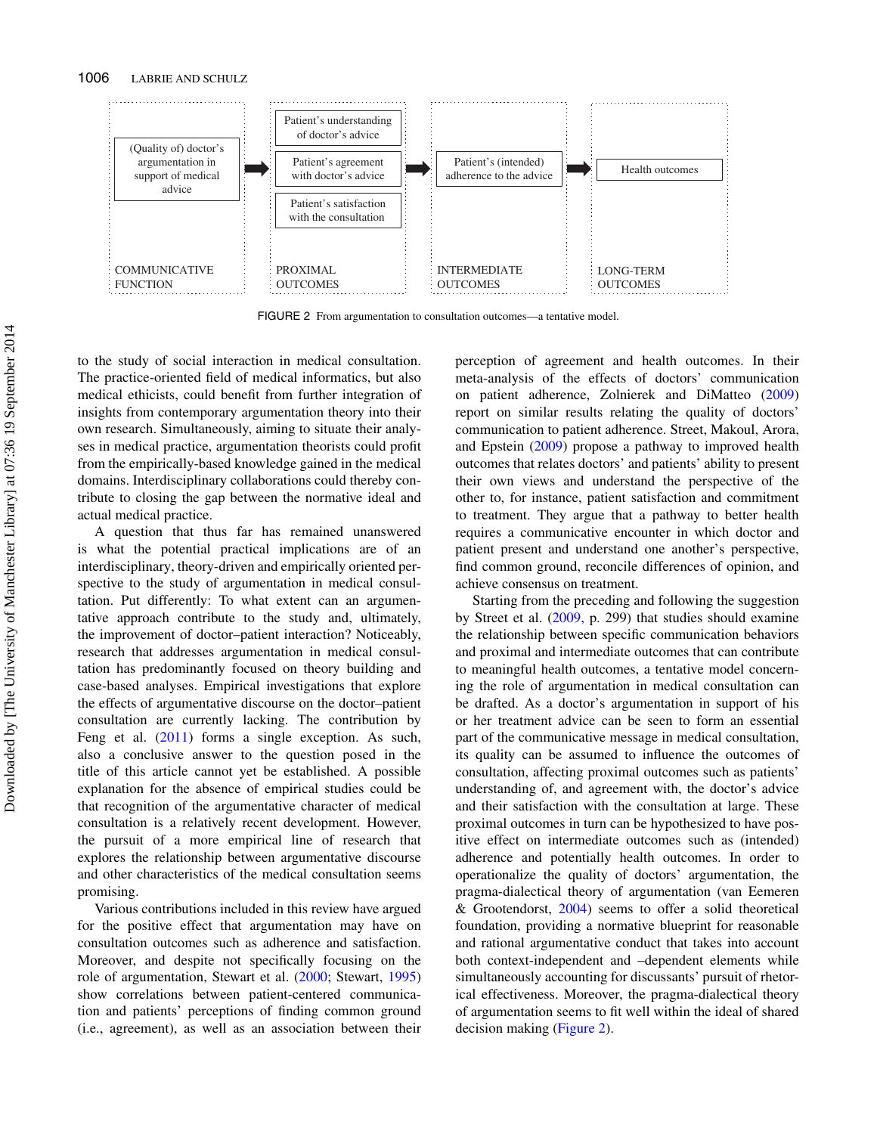<span id="page-10-0"></span>

FIGURE 2 From argumentation to consultation outcomes—a tentative model.

to the study of social interaction in medical consultation. The practice-oriented field of medical informatics, but also medical ethicists, could benefit from further integration of insights from contemporary argumentation theory into their own research. Simultaneously, aiming to situate their analyses in medical practice, argumentation theorists could profit from the empirically-based knowledge gained in the medical domains. Interdisciplinary collaborations could thereby contribute to closing the gap between the normative ideal and actual medical practice.

A question that thus far has remained unanswered is what the potential practical implications are of an interdisciplinary, theory-driven and empirically oriented perspective to the study of argumentation in medical consultation. Put differently: To what extent can an argumentative approach contribute to the study and, ultimately, the improvement of doctor–patient interaction? Noticeably, research that addresses argumentation in medical consultation has predominantly focused on theory building and case-based analyses. Empirical investigations that explore the effects of argumentative discourse on the doctor–patient consultation are currently lacking. The contribution by Feng et al. [\(2011\)](#page-11-21) forms a single exception. As such, also a conclusive answer to the question posed in the title of this article cannot yet be established. A possible explanation for the absence of empirical studies could be that recognition of the argumentative character of medical consultation is a relatively recent development. However, the pursuit of a more empirical line of research that explores the relationship between argumentative discourse and other characteristics of the medical consultation seems promising.

Various contributions included in this review have argued for the positive effect that argumentation may have on consultation outcomes such as adherence and satisfaction. Moreover, and despite not specifically focusing on the role of argumentation, Stewart et al. [\(2000;](#page-12-21) Stewart, [1995\)](#page-12-22) show correlations between patient-centered communication and patients' perceptions of finding common ground (i.e., agreement), as well as an association between their perception of agreement and health outcomes. In their meta-analysis of the effects of doctors' communication on patient adherence, Zolnierek and DiMatteo [\(2009\)](#page-12-23) report on similar results relating the quality of doctors' communication to patient adherence. Street, Makoul, Arora, and Epstein [\(2009\)](#page-12-24) propose a pathway to improved health outcomes that relates doctors' and patients' ability to present their own views and understand the perspective of the other to, for instance, patient satisfaction and commitment to treatment. They argue that a pathway to better health requires a communicative encounter in which doctor and patient present and understand one another's perspective, find common ground, reconcile differences of opinion, and achieve consensus on treatment.

Starting from the preceding and following the suggestion by Street et al. [\(2009,](#page-12-24) p. 299) that studies should examine the relationship between specific communication behaviors and proximal and intermediate outcomes that can contribute to meaningful health outcomes, a tentative model concerning the role of argumentation in medical consultation can be drafted. As a doctor's argumentation in support of his or her treatment advice can be seen to form an essential part of the communicative message in medical consultation, its quality can be assumed to influence the outcomes of consultation, affecting proximal outcomes such as patients' understanding of, and agreement with, the doctor's advice and their satisfaction with the consultation at large. These proximal outcomes in turn can be hypothesized to have positive effect on intermediate outcomes such as (intended) adherence and potentially health outcomes. In order to operationalize the quality of doctors' argumentation, the pragma-dialectical theory of argumentation (van Eemeren & Grootendorst, [2004\)](#page-12-4) seems to offer a solid theoretical foundation, providing a normative blueprint for reasonable and rational argumentative conduct that takes into account both context-independent and –dependent elements while simultaneously accounting for discussants' pursuit of rhetorical effectiveness. Moreover, the pragma-dialectical theory of argumentation seems to fit well within the ideal of shared decision making [\(Figure 2\)](#page-10-0).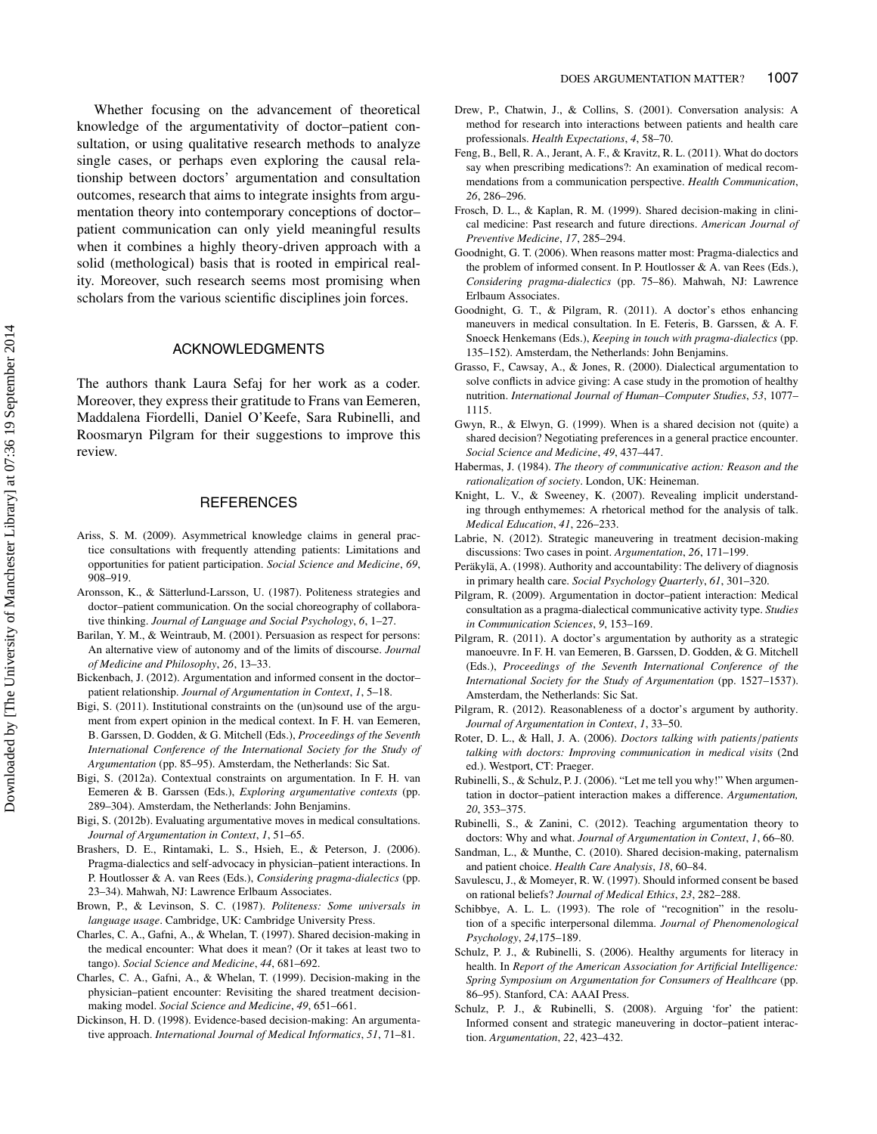Whether focusing on the advancement of theoretical knowledge of the argumentativity of doctor–patient consultation, or using qualitative research methods to analyze single cases, or perhaps even exploring the causal relationship between doctors' argumentation and consultation outcomes, research that aims to integrate insights from argumentation theory into contemporary conceptions of doctor– patient communication can only yield meaningful results when it combines a highly theory-driven approach with a solid (methological) basis that is rooted in empirical reality. Moreover, such research seems most promising when scholars from the various scientific disciplines join forces.

### ACKNOWLEDGMENTS

The authors thank Laura Sefaj for her work as a coder. Moreover, they express their gratitude to Frans van Eemeren, Maddalena Fiordelli, Daniel O'Keefe, Sara Rubinelli, and Roosmaryn Pilgram for their suggestions to improve this review.

#### **REFERENCES**

- <span id="page-11-18"></span>Ariss, S. M. (2009). Asymmetrical knowledge claims in general practice consultations with frequently attending patients: Limitations and opportunities for patient participation. *Social Science and Medicine*, *69*, 908–919.
- <span id="page-11-19"></span>Aronsson, K., & Sätterlund-Larsson, U. (1987). Politeness strategies and doctor–patient communication. On the social choreography of collaborative thinking. *Journal of Language and Social Psychology*, *6*, 1–27.
- <span id="page-11-27"></span>Barilan, Y. M., & Weintraub, M. (2001). Persuasion as respect for persons: An alternative view of autonomy and of the limits of discourse. *Journal of Medicine and Philosophy*, *26*, 13–33.
- <span id="page-11-11"></span>Bickenbach, J. (2012). Argumentation and informed consent in the doctor– patient relationship. *Journal of Argumentation in Context*, *1*, 5–18.
- <span id="page-11-12"></span>Bigi, S. (2011). Institutional constraints on the (un)sound use of the argument from expert opinion in the medical context. In F. H. van Eemeren, B. Garssen, D. Godden, & G. Mitchell (Eds.), *Proceedings of the Seventh International Conference of the International Society for the Study of Argumentation* (pp. 85–95). Amsterdam, the Netherlands: Sic Sat.
- <span id="page-11-13"></span>Bigi, S. (2012a). Contextual constraints on argumentation. In F. H. van Eemeren & B. Garssen (Eds.), *Exploring argumentative contexts* (pp. 289–304). Amsterdam, the Netherlands: John Benjamins.
- <span id="page-11-14"></span>Bigi, S. (2012b). Evaluating argumentative moves in medical consultations. *Journal of Argumentation in Context*, *1*, 51–65.
- <span id="page-11-15"></span>Brashers, D. E., Rintamaki, L. S., Hsieh, E., & Peterson, J. (2006). Pragma-dialectics and self-advocacy in physician–patient interactions. In P. Houtlosser & A. van Rees (Eds.), *Considering pragma-dialectics* (pp. 23–34). Mahwah, NJ: Lawrence Erlbaum Associates.
- <span id="page-11-29"></span>Brown, P., & Levinson, S. C. (1987). *Politeness: Some universals in language usage*. Cambridge, UK: Cambridge University Press.
- <span id="page-11-0"></span>Charles, C. A., Gafni, A., & Whelan, T. (1997). Shared decision-making in the medical encounter: What does it mean? (Or it takes at least two to tango). *Social Science and Medicine*, *44*, 681–692.
- <span id="page-11-1"></span>Charles, C. A., Gafni, A., & Whelan, T. (1999). Decision-making in the physician–patient encounter: Revisiting the shared treatment decisionmaking model. *Social Science and Medicine*, *49*, 651–661.
- <span id="page-11-24"></span>Dickinson, H. D. (1998). Evidence-based decision-making: An argumentative approach. *International Journal of Medical Informatics*, *51*, 71–81.
- <span id="page-11-20"></span>Drew, P., Chatwin, J., & Collins, S. (2001). Conversation analysis: A method for research into interactions between patients and health care professionals. *Health Expectations*, *4*, 58–70.
- <span id="page-11-21"></span>Feng, B., Bell, R. A., Jerant, A. F., & Kravitz, R. L. (2011). What do doctors say when prescribing medications?: An examination of medical recommendations from a communication perspective. *Health Communication*, *26*, 286–296.
- <span id="page-11-3"></span>Frosch, D. L., & Kaplan, R. M. (1999). Shared decision-making in clinical medicine: Past research and future directions. *American Journal of Preventive Medicine*, *17*, 285–294.
- <span id="page-11-8"></span>Goodnight, G. T. (2006). When reasons matter most: Pragma-dialectics and the problem of informed consent. In P. Houtlosser & A. van Rees (Eds.), *Considering pragma-dialectics* (pp. 75–86). Mahwah, NJ: Lawrence Erlbaum Associates.
- Goodnight, G. T., & Pilgram, R. (2011). A doctor's ethos enhancing maneuvers in medical consultation. In E. Feteris, B. Garssen, & A. F. Snoeck Henkemans (Eds.), *Keeping in touch with pragma-dialectics* (pp. 135–152). Amsterdam, the Netherlands: John Benjamins.
- <span id="page-11-25"></span>Grasso, F., Cawsay, A., & Jones, R. (2000). Dialectical argumentation to solve conflicts in advice giving: A case study in the promotion of healthy nutrition. *International Journal of Human–Computer Studies*, *53*, 1077– 1115.
- <span id="page-11-2"></span>Gwyn, R., & Elwyn, G. (1999). When is a shared decision not (quite) a shared decision? Negotiating preferences in a general practice encounter. *Social Science and Medicine*, *49*, 437–447.
- Habermas, J. (1984). *The theory of communicative action: Reason and the rationalization of society*. London, UK: Heineman.
- <span id="page-11-22"></span>Knight, L. V., & Sweeney, K. (2007). Revealing implicit understanding through enthymemes: A rhetorical method for the analysis of talk. *Medical Education*, *41*, 226–233.
- <span id="page-11-5"></span>Labrie, N. (2012). Strategic maneuvering in treatment decision-making discussions: Two cases in point. *Argumentation*, *26*, 171–199.
- <span id="page-11-23"></span>Peräkylä, A. (1998). Authority and accountability: The delivery of diagnosis in primary health care. *Social Psychology Quarterly*, *61*, 301–320.
- <span id="page-11-6"></span>Pilgram, R. (2009). Argumentation in doctor–patient interaction: Medical consultation as a pragma-dialectical communicative activity type. *Studies in Communication Sciences*, *9*, 153–169.
- <span id="page-11-16"></span>Pilgram, R. (2011). A doctor's argumentation by authority as a strategic manoeuvre. In F. H. van Eemeren, B. Garssen, D. Godden, & G. Mitchell (Eds.), *Proceedings of the Seventh International Conference of the International Society for the Study of Argumentation* (pp. 1527–1537). Amsterdam, the Netherlands: Sic Sat.
- <span id="page-11-17"></span>Pilgram, R. (2012). Reasonableness of a doctor's argument by authority. *Journal of Argumentation in Context*, *1*, 33–50.
- <span id="page-11-4"></span>Roter, D. L., & Hall, J. A. (2006). *Doctors talking with patients/patients talking with doctors: Improving communication in medical visits* (2nd ed.). Westport, CT: Praeger.
- <span id="page-11-7"></span>Rubinelli, S., & Schulz, P. J. (2006). "Let me tell you why!" When argumentation in doctor–patient interaction makes a difference. *Argumentation, 20*, 353–375.
- Rubinelli, S., & Zanini, C. (2012). Teaching argumentation theory to doctors: Why and what. *Journal of Argumentation in Context*, *1*, 66–80.
- <span id="page-11-26"></span>Sandman, L., & Munthe, C. (2010). Shared decision-making, paternalism and patient choice. *Health Care Analysis*, *18*, 60–84.
- <span id="page-11-28"></span>Savulescu, J., & Momeyer, R. W. (1997). Should informed consent be based on rational beliefs? *Journal of Medical Ethics*, *23*, 282–288.
- Schibbye, A. L. L. (1993). The role of "recognition" in the resolution of a specific interpersonal dilemma. *Journal of Phenomenological Psychology*, *24*,175–189.
- <span id="page-11-9"></span>Schulz, P. J., & Rubinelli, S. (2006). Healthy arguments for literacy in health. In *Report of the American Association for Artificial Intelligence: Spring Symposium on Argumentation for Consumers of Healthcare* (pp. 86–95). Stanford, CA: AAAI Press.
- <span id="page-11-10"></span>Schulz, P. J., & Rubinelli, S. (2008). Arguing 'for' the patient: Informed consent and strategic maneuvering in doctor–patient interaction. *Argumentation*, *22*, 423–432.